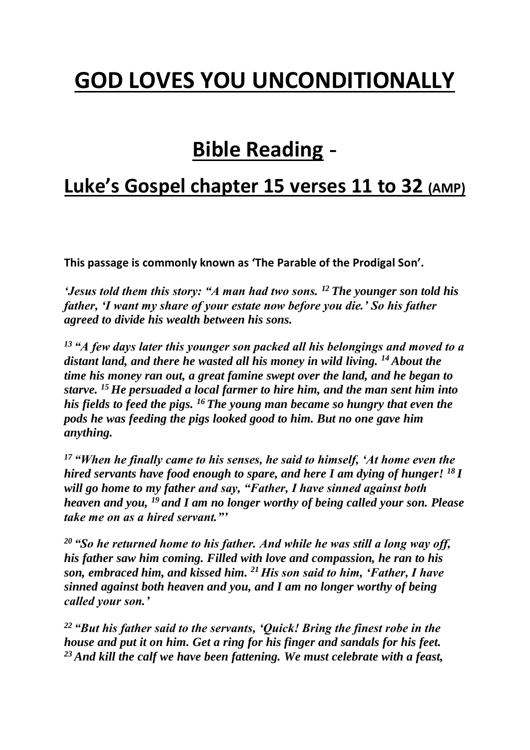# **GOD LOVES YOU UNCONDITIONALLY**

# **Bible Reading -**

### **Luke's Gospel chapter 15 verses 11 to 32 (AMP)**

**This passage is commonly known as 'The Parable of the Prodigal Son'.**

*'Jesus told them this story: "A man had two sons. <sup>12</sup> The younger son told his father, 'I want my share of your estate now before you die.' So his father agreed to divide his wealth between his sons.*

*<sup>13</sup> "A few days later this younger son packed all his belongings and moved to a distant land, and there he wasted all his money in wild living. <sup>14</sup> About the time his money ran out, a great famine swept over the land, and he began to starve. <sup>15</sup> He persuaded a local farmer to hire him, and the man sent him into his fields to feed the pigs. <sup>16</sup> The young man became so hungry that even the pods he was feeding the pigs looked good to him. But no one gave him anything.*

*<sup>17</sup> "When he finally came to his senses, he said to himself, 'At home even the hired servants have food enough to spare, and here I am dying of hunger! <sup>18</sup> I will go home to my father and say, "Father, I have sinned against both heaven and you, <sup>19</sup> and I am no longer worthy of being called your son. Please take me on as a hired servant."'*

*<sup>20</sup> "So he returned home to his father. And while he was still a long way off, his father saw him coming. Filled with love and compassion, he ran to his son, embraced him, and kissed him. <sup>21</sup>His son said to him, 'Father, I have sinned against both heaven and you, and I am no longer worthy of being called your son.'*

*<sup>22</sup> "But his father said to the servants, 'Quick! Bring the finest robe in the house and put it on him. Get a ring for his finger and sandals for his feet. <sup>23</sup> And kill the calf we have been fattening. We must celebrate with a feast,*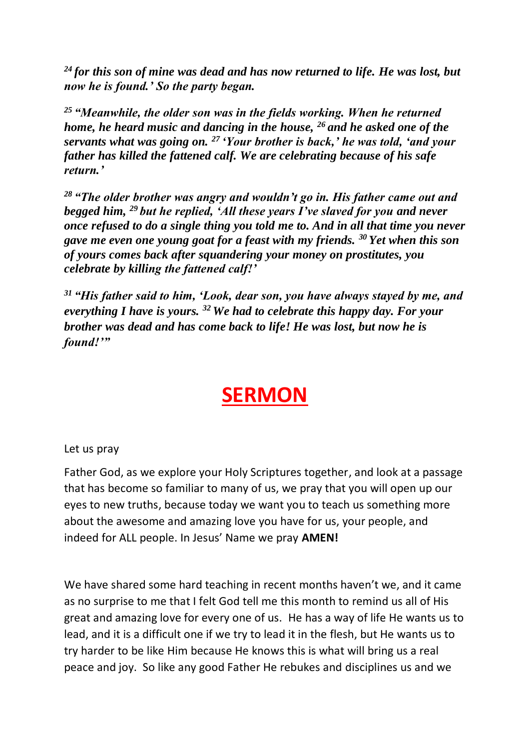*<sup>24</sup> for this son of mine was dead and has now returned to life. He was lost, but now he is found.' So the party began.*

*<sup>25</sup> "Meanwhile, the older son was in the fields working. When he returned home, he heard music and dancing in the house, <sup>26</sup> and he asked one of the servants what was going on. <sup>27</sup> 'Your brother is back,' he was told, 'and your father has killed the fattened calf. We are celebrating because of his safe return.'*

*<sup>28</sup> "The older brother was angry and wouldn't go in. His father came out and begged him, <sup>29</sup> but he replied, 'All these years I've slaved for you and never once refused to do a single thing you told me to. And in all that time you never gave me even one young goat for a feast with my friends. <sup>30</sup> Yet when this son of yours comes back after squandering your money on prostitutes, you celebrate by killing the fattened calf!'*

*<sup>31</sup> "His father said to him, 'Look, dear son, you have always stayed by me, and everything I have is yours. <sup>32</sup> We had to celebrate this happy day. For your brother was dead and has come back to life! He was lost, but now he is found!'"*

## **SERMON**

Let us pray

Father God, as we explore your Holy Scriptures together, and look at a passage that has become so familiar to many of us, we pray that you will open up our eyes to new truths, because today we want you to teach us something more about the awesome and amazing love you have for us, your people, and indeed for ALL people. In Jesus' Name we pray **AMEN!**

We have shared some hard teaching in recent months haven't we, and it came as no surprise to me that I felt God tell me this month to remind us all of His great and amazing love for every one of us. He has a way of life He wants us to lead, and it is a difficult one if we try to lead it in the flesh, but He wants us to try harder to be like Him because He knows this is what will bring us a real peace and joy. So like any good Father He rebukes and disciplines us and we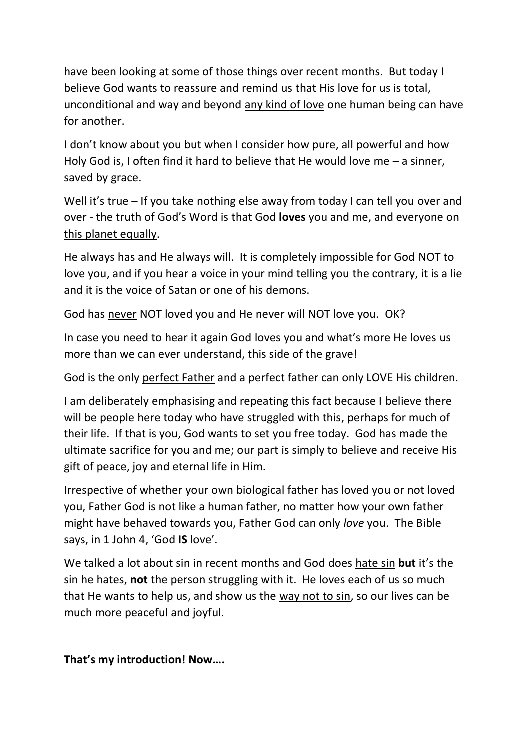have been looking at some of those things over recent months. But today I believe God wants to reassure and remind us that His love for us is total, unconditional and way and beyond any kind of love one human being can have for another.

I don't know about you but when I consider how pure, all powerful and how Holy God is, I often find it hard to believe that He would love me – a sinner, saved by grace.

Well it's true – If you take nothing else away from today I can tell you over and over - the truth of God's Word is that God **loves** you and me, and everyone on this planet equally.

He always has and He always will. It is completely impossible for God NOT to love you, and if you hear a voice in your mind telling you the contrary, it is a lie and it is the voice of Satan or one of his demons.

God has never NOT loved you and He never will NOT love you. OK?

In case you need to hear it again God loves you and what's more He loves us more than we can ever understand, this side of the grave!

God is the only perfect Father and a perfect father can only LOVE His children.

I am deliberately emphasising and repeating this fact because I believe there will be people here today who have struggled with this, perhaps for much of their life. If that is you, God wants to set you free today. God has made the ultimate sacrifice for you and me; our part is simply to believe and receive His gift of peace, joy and eternal life in Him.

Irrespective of whether your own biological father has loved you or not loved you, Father God is not like a human father, no matter how your own father might have behaved towards you, Father God can only *love* you. The Bible says, in 1 John 4, 'God **IS** love'.

We talked a lot about sin in recent months and God does hate sin **but** it's the sin he hates, **not** the person struggling with it. He loves each of us so much that He wants to help us, and show us the way not to sin, so our lives can be much more peaceful and joyful.

**That's my introduction! Now….**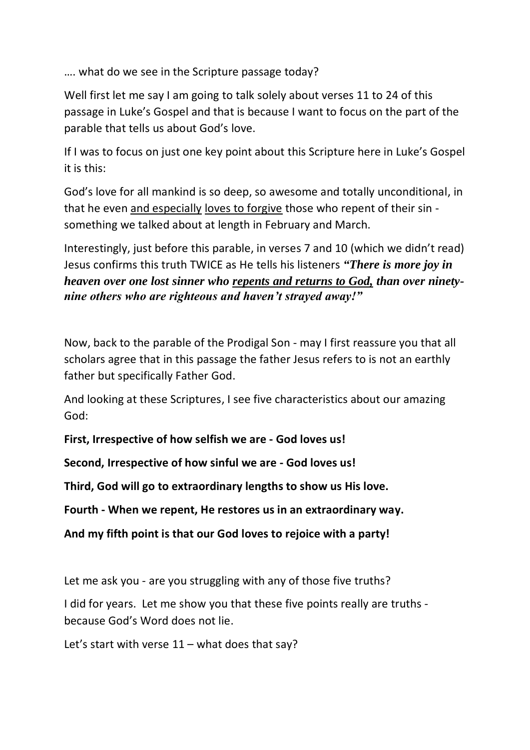…. what do we see in the Scripture passage today?

Well first let me say I am going to talk solely about verses 11 to 24 of this passage in Luke's Gospel and that is because I want to focus on the part of the parable that tells us about God's love.

If I was to focus on just one key point about this Scripture here in Luke's Gospel it is this:

God's love for all mankind is so deep, so awesome and totally unconditional, in that he even and especially loves to forgive those who repent of their sin something we talked about at length in February and March.

Interestingly, just before this parable, in verses 7 and 10 (which we didn't read) Jesus confirms this truth TWICE as He tells his listeners *"There is more joy in heaven over one lost sinner who repents and returns to God, than over ninetynine others who are righteous and haven't strayed away!"*

Now, back to the parable of the Prodigal Son - may I first reassure you that all scholars agree that in this passage the father Jesus refers to is not an earthly father but specifically Father God.

And looking at these Scriptures, I see five characteristics about our amazing God:

**First, Irrespective of how selfish we are - God loves us!**

**Second, Irrespective of how sinful we are - God loves us!**

**Third, God will go to extraordinary lengths to show us His love.**

**Fourth - When we repent, He restores us in an extraordinary way.**

**And my fifth point is that our God loves to rejoice with a party!**

Let me ask you - are you struggling with any of those five truths?

I did for years. Let me show you that these five points really are truths because God's Word does not lie.

Let's start with verse  $11 -$  what does that say?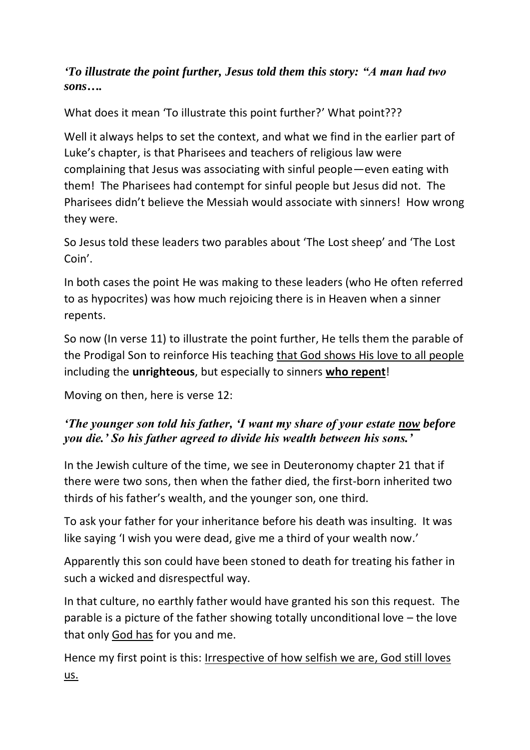#### *'To illustrate the point further, Jesus told them this story: "A man had two sons….*

What does it mean 'To illustrate this point further?' What point???

Well it always helps to set the context, and what we find in the earlier part of Luke's chapter, is that Pharisees and teachers of religious law were complaining that Jesus was associating with sinful people—even eating with them! The Pharisees had contempt for sinful people but Jesus did not. The Pharisees didn't believe the Messiah would associate with sinners! How wrong they were.

So Jesus told these leaders two parables about 'The Lost sheep' and 'The Lost Coin'.

In both cases the point He was making to these leaders (who He often referred to as hypocrites) was how much rejoicing there is in Heaven when a sinner repents.

So now (In verse 11) to illustrate the point further, He tells them the parable of the Prodigal Son to reinforce His teaching that God shows His love to all people including the **unrighteous**, but especially to sinners **who repent**!

Moving on then, here is verse 12:

#### *'The younger son told his father, 'I want my share of your estate now before you die.' So his father agreed to divide his wealth between his sons.'*

In the Jewish culture of the time, we see in Deuteronomy chapter 21 that if there were two sons, then when the father died, the first-born inherited two thirds of his father's wealth, and the younger son, one third.

To ask your father for your inheritance before his death was insulting. It was like saying 'I wish you were dead, give me a third of your wealth now.'

Apparently this son could have been stoned to death for treating his father in such a wicked and disrespectful way.

In that culture, no earthly father would have granted his son this request. The parable is a picture of the father showing totally unconditional love – the love that only God has for you and me.

Hence my first point is this: Irrespective of how selfish we are, God still loves us.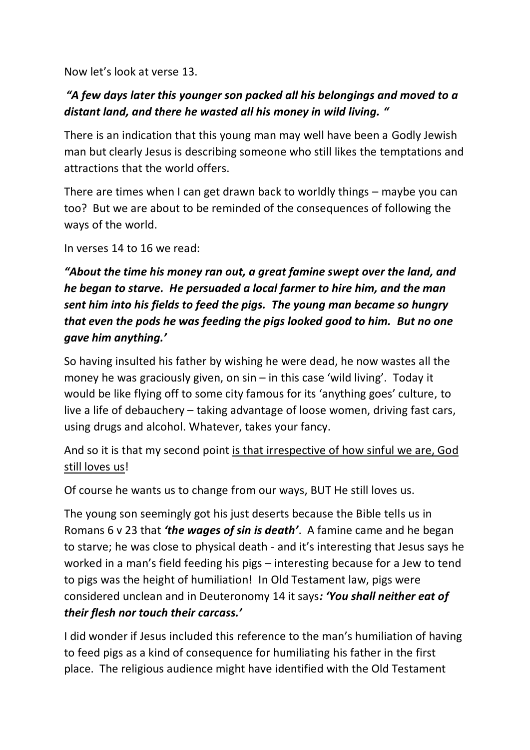Now let's look at verse 13.

#### *"A few days later this younger son packed all his belongings and moved to a distant land, and there he wasted all his money in wild living. "*

There is an indication that this young man may well have been a Godly Jewish man but clearly Jesus is describing someone who still likes the temptations and attractions that the world offers.

There are times when I can get drawn back to worldly things – maybe you can too? But we are about to be reminded of the consequences of following the ways of the world.

In verses 14 to 16 we read:

### *"About the time his money ran out, a great famine swept over the land, and he began to starve. He persuaded a local farmer to hire him, and the man sent him into his fields to feed the pigs. The young man became so hungry that even the pods he was feeding the pigs looked good to him. But no one gave him anything.'*

So having insulted his father by wishing he were dead, he now wastes all the money he was graciously given, on sin – in this case 'wild living'. Today it would be like flying off to some city famous for its 'anything goes' culture, to live a life of debauchery – taking advantage of loose women, driving fast cars, using drugs and alcohol. Whatever, takes your fancy.

And so it is that my second point is that irrespective of how sinful we are, God still loves us!

Of course he wants us to change from our ways, BUT He still loves us.

The young son seemingly got his just deserts because the Bible tells us in Romans 6 v 23 that *'the wages of sin is death'*. A famine came and he began to starve; he was close to physical death - and it's interesting that Jesus says he worked in a man's field feeding his pigs – interesting because for a Jew to tend to pigs was the height of humiliation! In Old Testament law, pigs were considered unclean and in Deuteronomy 14 it says*: 'You shall neither eat of their flesh nor touch their carcass.'*

I did wonder if Jesus included this reference to the man's humiliation of having to feed pigs as a kind of consequence for humiliating his father in the first place. The religious audience might have identified with the Old Testament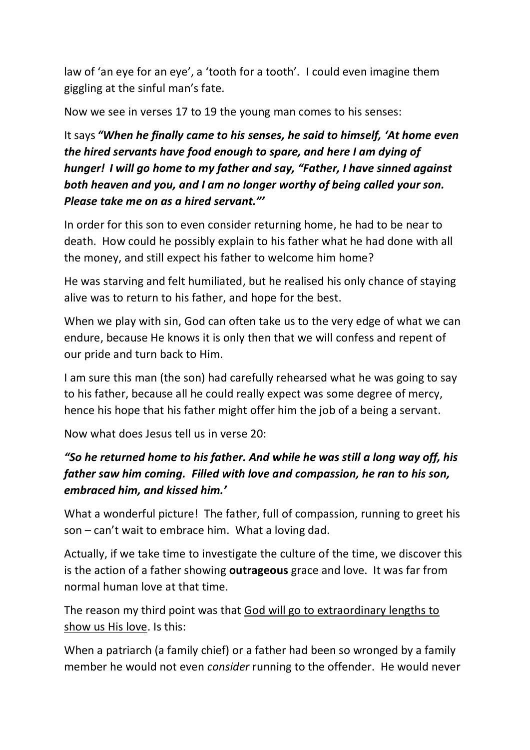law of 'an eye for an eye', a 'tooth for a tooth'. I could even imagine them giggling at the sinful man's fate.

Now we see in verses 17 to 19 the young man comes to his senses:

It says *"When he finally came to his senses, he said to himself, 'At home even the hired servants have food enough to spare, and here I am dying of hunger! I will go home to my father and say, "Father, I have sinned against both heaven and you, and I am no longer worthy of being called your son. Please take me on as a hired servant."'*

In order for this son to even consider returning home, he had to be near to death. How could he possibly explain to his father what he had done with all the money, and still expect his father to welcome him home?

He was starving and felt humiliated, but he realised his only chance of staying alive was to return to his father, and hope for the best.

When we play with sin, God can often take us to the very edge of what we can endure, because He knows it is only then that we will confess and repent of our pride and turn back to Him.

I am sure this man (the son) had carefully rehearsed what he was going to say to his father, because all he could really expect was some degree of mercy, hence his hope that his father might offer him the job of a being a servant.

Now what does Jesus tell us in verse 20:

### *"So he returned home to his father. And while he was still a long way off, his father saw him coming. Filled with love and compassion, he ran to his son, embraced him, and kissed him.'*

What a wonderful picture! The father, full of compassion, running to greet his son – can't wait to embrace him. What a loving dad.

Actually, if we take time to investigate the culture of the time, we discover this is the action of a father showing **outrageous** grace and love. It was far from normal human love at that time.

The reason my third point was that God will go to extraordinary lengths to show us His love. Is this:

When a patriarch (a family chief) or a father had been so wronged by a family member he would not even *consider* running to the offender. He would never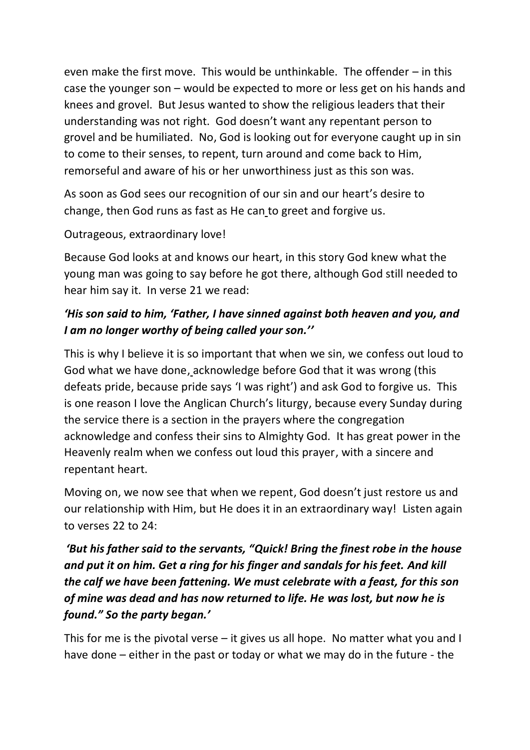even make the first move. This would be unthinkable. The offender – in this case the younger son – would be expected to more or less get on his hands and knees and grovel. But Jesus wanted to show the religious leaders that their understanding was not right. God doesn't want any repentant person to grovel and be humiliated. No, God is looking out for everyone caught up in sin to come to their senses, to repent, turn around and come back to Him, remorseful and aware of his or her unworthiness just as this son was.

As soon as God sees our recognition of our sin and our heart's desire to change, then God runs as fast as He can to greet and forgive us.

#### Outrageous, extraordinary love!

Because God looks at and knows our heart, in this story God knew what the young man was going to say before he got there, although God still needed to hear him say it. In verse 21 we read:

#### *'His son said to him, 'Father, I have sinned against both heaven and you, and I am no longer worthy of being called your son.''*

This is why I believe it is so important that when we sin, we confess out loud to God what we have done, acknowledge before God that it was wrong (this defeats pride, because pride says 'I was right') and ask God to forgive us. This is one reason I love the Anglican Church's liturgy, because every Sunday during the service there is a section in the prayers where the congregation acknowledge and confess their sins to Almighty God. It has great power in the Heavenly realm when we confess out loud this prayer, with a sincere and repentant heart.

Moving on, we now see that when we repent, God doesn't just restore us and our relationship with Him, but He does it in an extraordinary way! Listen again to verses 22 to 24:

### *'But his father said to the servants, "Quick! Bring the finest robe in the house and put it on him. Get a ring for his finger and sandals for his feet. And kill the calf we have been fattening. We must celebrate with a feast, for this son of mine was dead and has now returned to life. He was lost, but now he is found." So the party began.'*

This for me is the pivotal verse – it gives us all hope. No matter what you and I have done – either in the past or today or what we may do in the future - the